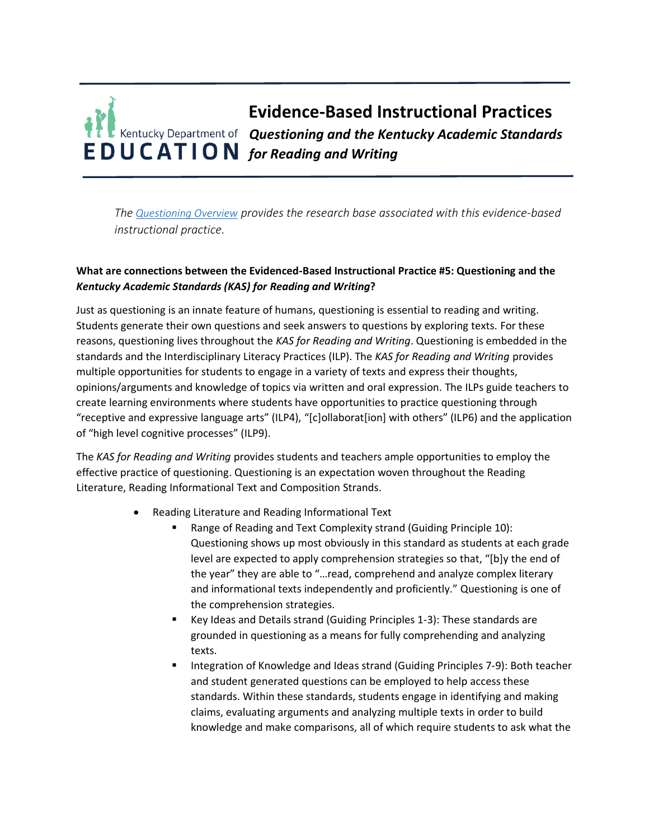## **Evidence-Based Instructional Practices** *Questioning and the Kentucky Academic Standards*  **FDUCATION** for Reading and Writing

*The [Questioning Overview](https://education.ky.gov/curriculum/standards/kyacadstand/Documents/EBIP_5_Questioning.pdf) provides the research base associated with this evidence-based instructional practice.*

## **What are connections between the Evidenced-Based Instructional Practice #5: Questioning and the**  *Kentucky Academic Standards (KAS) for Reading and Writing***?**

Just as questioning is an innate feature of humans, questioning is essential to reading and writing. Students generate their own questions and seek answers to questions by exploring texts. For these reasons, questioning lives throughout the *KAS for Reading and Writing*. Questioning is embedded in the standards and the Interdisciplinary Literacy Practices (ILP). The *KAS for Reading and Writing* provides multiple opportunities for students to engage in a variety of texts and express their thoughts, opinions/arguments and knowledge of topics via written and oral expression. The ILPs guide teachers to create learning environments where students have opportunities to practice questioning through "receptive and expressive language arts" (ILP4), "[c]ollaborat[ion] with others" (ILP6) and the application of "high level cognitive processes" (ILP9).

The *KAS for Reading and Writing* provides students and teachers ample opportunities to employ the effective practice of questioning. Questioning is an expectation woven throughout the Reading Literature, Reading Informational Text and Composition Strands.

- Reading Literature and Reading Informational Text
	- Range of Reading and Text Complexity strand (Guiding Principle 10): Questioning shows up most obviously in this standard as students at each grade level are expected to apply comprehension strategies so that, "[b]y the end of the year" they are able to "…read, comprehend and analyze complex literary and informational texts independently and proficiently." Questioning is one of the comprehension strategies.
	- Key Ideas and Details strand (Guiding Principles 1-3): These standards are grounded in questioning as a means for fully comprehending and analyzing texts.
	- Integration of Knowledge and Ideas strand (Guiding Principles 7-9): Both teacher and student generated questions can be employed to help access these standards. Within these standards, students engage in identifying and making claims, evaluating arguments and analyzing multiple texts in order to build knowledge and make comparisons, all of which require students to ask what the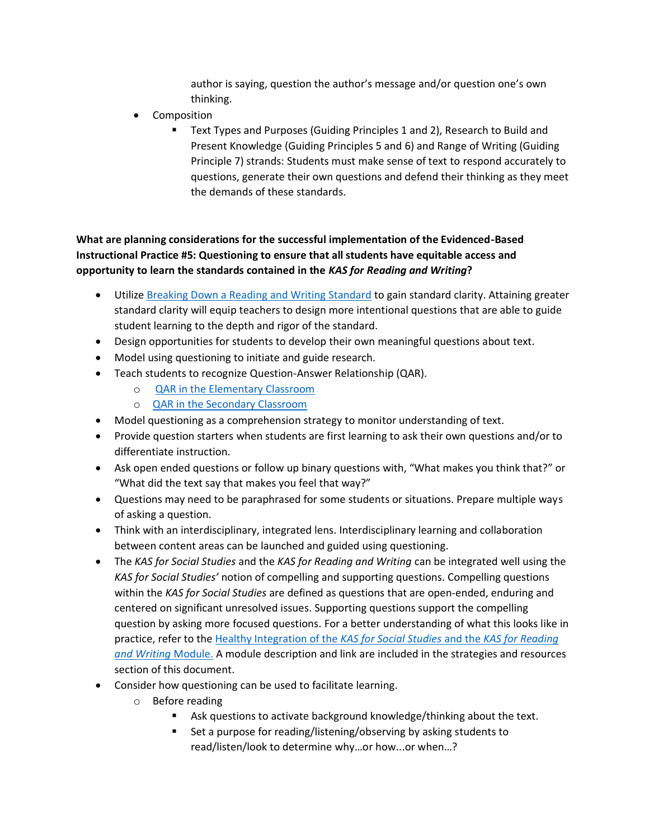author is saying, question the author's message and/or question one's own thinking.

- Composition
	- Text Types and Purposes (Guiding Principles 1 and 2), Research to Build and Present Knowledge (Guiding Principles 5 and 6) and Range of Writing (Guiding Principle 7) strands: Students must make sense of text to respond accurately to questions, generate their own questions and defend their thinking as they meet the demands of these standards.

**What are planning considerations for the successful implementation of the Evidenced-Based Instructional Practice #5: Questioning to ensure that all students have equitable access and opportunity to learn the standards contained in the** *KAS for Reading and Writing***?**

- Utiliz[e Breaking Down a Reading and Writing Standard](https://education.ky.gov/curriculum/standards/kyacadstand/Documents/Breaking_Down_a_Reading_and_Writing_Standard.pdf) to gain standard clarity. Attaining greater standard clarity will equip teachers to design more intentional questions that are able to guide student learning to the depth and rigor of the standard.
- Design opportunities for students to develop their own meaningful questions about text.
- Model using questioning to initiate and guide research.
- Teach students to recognize Question-Answer Relationship (QAR).
	- o [QAR in the Elementary Classroom](https://www.readingrockets.org/strategies/question_answer_relationship#:~:text=Right%20There%20Questions%3A%20Literal%20questions,words%20found%20in%20the%20text.&text=Although%20the%20answer%20does%20not,order%20to%20answer%20the%20question.)
	- o [QAR in the Secondary Classroom](https://www.readwritethink.org/classroom-resources/lesson-plans/using-qars-develop-comprehension)
- Model questioning as a comprehension strategy to monitor understanding of text.
- Provide question starters when students are first learning to ask their own questions and/or to differentiate instruction.
- Ask open ended questions or follow up binary questions with, "What makes you think that?" or "What did the text say that makes you feel that way?"
- Questions may need to be paraphrased for some students or situations. Prepare multiple ways of asking a question.
- Think with an interdisciplinary, integrated lens. Interdisciplinary learning and collaboration between content areas can be launched and guided using questioning.
- The *KAS for Social Studies* and the *KAS for Reading and Writing* can be integrated well using the *KAS for Social Studies'* notion of compelling and supporting questions. Compelling questions within the *KAS for Social Studies* are defined as questions that are open-ended, enduring and centered on significant unresolved issues. Supporting questions support the compelling question by asking more focused questions. For a better understanding of what this looks like in practice, refer to the [Healthy Integration of the](https://education.ky.gov/curriculum/standards/kyacadstand/Documents/Healthy_Integration_Module.pptx) *KAS for Social Studies* and the *KAS for Reading [and Writing](https://education.ky.gov/curriculum/standards/kyacadstand/Documents/Healthy_Integration_Module.pptx)* Module. A module description and link are included in the strategies and resources section of this document.
- Consider how questioning can be used to facilitate learning.
	- o Before reading
		- Ask questions to activate background knowledge/thinking about the text.
		- Set a purpose for reading/listening/observing by asking students to read/listen/look to determine why…or how...or when…?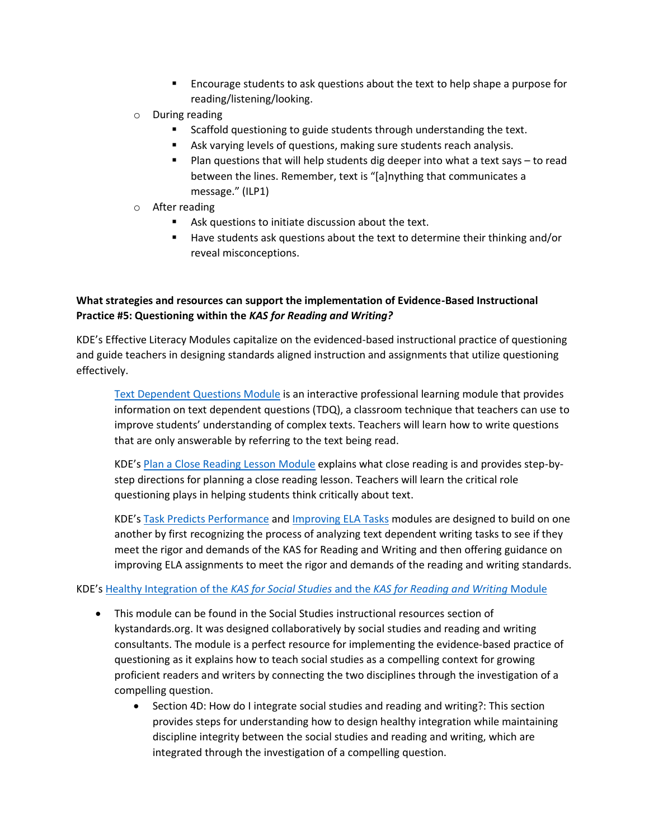- Encourage students to ask questions about the text to help shape a purpose for reading/listening/looking.
- o During reading
	- Scaffold questioning to guide students through understanding the text.
	- Ask varying levels of questions, making sure students reach analysis.
	- Plan questions that will help students dig deeper into what a text says to read between the lines. Remember, text is "[a]nything that communicates a message." (ILP1)
- o After reading
	- Ask questions to initiate discussion about the text.
	- Have students ask questions about the text to determine their thinking and/or reveal misconceptions.

## **What strategies and resources can support the implementation of Evidence-Based Instructional Practice #5: Questioning within the** *KAS for Reading and Writing?*

KDE's Effective Literacy Modules capitalize on the evidenced-based instructional practice of questioning and guide teachers in designing standards aligned instruction and assignments that utilize questioning effectively.

[Text Dependent Questions](https://kystandards.org/utdq/) Module is an interactive professional learning module that provides information on text dependent questions (TDQ), a classroom technique that teachers can use to improve students' understanding of complex texts. Teachers will learn how to write questions that are only answerable by referring to the text being read.

KDE's [Plan a Close Reading Lesson](https://kystandards.org/standards-resources/rw-resources/rw-pl-modules/pacrl/) Module explains what close reading is and provides step-bystep directions for planning a close reading lesson. Teachers will learn the critical role questioning plays in helping students think critically about text.

KDE's [Task Predicts Performance](https://kystandards.org/task-predicts-performance/) and [Improving ELA Tasks](https://kystandards.org/standards-resources/rw-resources/rw-pl-modules/improving-ela-tasks/) modules are designed to build on one another by first recognizing the process of analyzing text dependent writing tasks to see if they meet the rigor and demands of the KAS for Reading and Writing and then offering guidance on improving ELA assignments to meet the rigor and demands of the reading and writing standards.

## KDE's Healthy Integration of the *KAS for Social Studies* and the *[KAS for Reading and Writing](https://education.ky.gov/curriculum/standards/kyacadstand/Documents/Healthy_Integration_Module.pptx)* Module

- This module can be found in the Social Studies instructional resources section of kystandards.org. It was designed collaboratively by social studies and reading and writing consultants. The module is a perfect resource for implementing the evidence-based practice of questioning as it explains how to teach social studies as a compelling context for growing proficient readers and writers by connecting the two disciplines through the investigation of a compelling question.
	- Section 4D: How do I integrate social studies and reading and writing?: This section provides steps for understanding how to design healthy integration while maintaining discipline integrity between the social studies and reading and writing, which are integrated through the investigation of a compelling question.